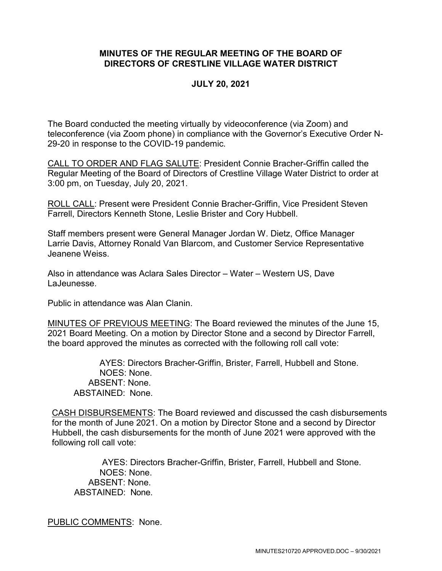## **MINUTES OF THE REGULAR MEETING OF THE BOARD OF DIRECTORS OF CRESTLINE VILLAGE WATER DISTRICT**

### **JULY 20, 2021**

The Board conducted the meeting virtually by videoconference (via Zoom) and teleconference (via Zoom phone) in compliance with the Governor's Executive Order N-29-20 in response to the COVID-19 pandemic.

CALL TO ORDER AND FLAG SALUTE: President Connie Bracher-Griffin called the Regular Meeting of the Board of Directors of Crestline Village Water District to order at 3:00 pm, on Tuesday, July 20, 2021.

ROLL CALL: Present were President Connie Bracher-Griffin, Vice President Steven Farrell, Directors Kenneth Stone, Leslie Brister and Cory Hubbell.

Staff members present were General Manager Jordan W. Dietz, Office Manager Larrie Davis, Attorney Ronald Van Blarcom, and Customer Service Representative Jeanene Weiss.

Also in attendance was Aclara Sales Director – Water – Western US, Dave LaJeunesse.

Public in attendance was Alan Clanin.

MINUTES OF PREVIOUS MEETING: The Board reviewed the minutes of the June 15, 2021 Board Meeting. On a motion by Director Stone and a second by Director Farrell, the board approved the minutes as corrected with the following roll call vote:

AYES: Directors Bracher-Griffin, Brister, Farrell, Hubbell and Stone. NOES: None. ABSENT: None. ABSTAINED: None.

CASH DISBURSEMENTS: The Board reviewed and discussed the cash disbursements for the month of June 2021. On a motion by Director Stone and a second by Director Hubbell, the cash disbursements for the month of June 2021 were approved with the following roll call vote:

AYES: Directors Bracher-Griffin, Brister, Farrell, Hubbell and Stone. NOES: None. ABSENT: None. ABSTAINED: None.

PUBLIC COMMENTS: None.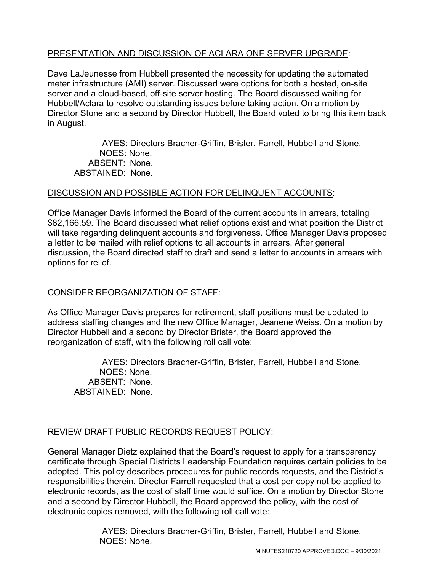## PRESENTATION AND DISCUSSION OF ACLARA ONE SERVER UPGRADE:

Dave LaJeunesse from Hubbell presented the necessity for updating the automated meter infrastructure (AMI) server. Discussed were options for both a hosted, on-site server and a cloud-based, off-site server hosting. The Board discussed waiting for Hubbell/Aclara to resolve outstanding issues before taking action. On a motion by Director Stone and a second by Director Hubbell, the Board voted to bring this item back in August.

AYES: Directors Bracher-Griffin, Brister, Farrell, Hubbell and Stone. NOES: None. ABSENT: None. ABSTAINED: None.

## DISCUSSION AND POSSIBLE ACTION FOR DELINQUENT ACCOUNTS:

Office Manager Davis informed the Board of the current accounts in arrears, totaling \$82,166.59. The Board discussed what relief options exist and what position the District will take regarding delinquent accounts and forgiveness. Office Manager Davis proposed a letter to be mailed with relief options to all accounts in arrears. After general discussion, the Board directed staff to draft and send a letter to accounts in arrears with options for relief.

## CONSIDER REORGANIZATION OF STAFF:

As Office Manager Davis prepares for retirement, staff positions must be updated to address staffing changes and the new Office Manager, Jeanene Weiss. On a motion by Director Hubbell and a second by Director Brister, the Board approved the reorganization of staff, with the following roll call vote:

AYES: Directors Bracher-Griffin, Brister, Farrell, Hubbell and Stone. NOES: None. ABSENT: None. ABSTAINED: None.

# REVIEW DRAFT PUBLIC RECORDS REQUEST POLICY:

General Manager Dietz explained that the Board's request to apply for a transparency certificate through Special Districts Leadership Foundation requires certain policies to be adopted. This policy describes procedures for public records requests, and the District's responsibilities therein. Director Farrell requested that a cost per copy not be applied to electronic records, as the cost of staff time would suffice. On a motion by Director Stone and a second by Director Hubbell, the Board approved the policy, with the cost of electronic copies removed, with the following roll call vote:

> AYES: Directors Bracher-Griffin, Brister, Farrell, Hubbell and Stone. NOES: None.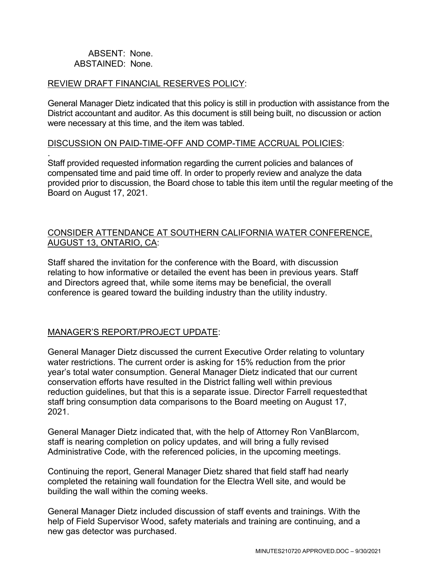### ABSENT: None. ABSTAINED: None.

#### REVIEW DRAFT FINANCIAL RESERVES POLICY:

General Manager Dietz indicated that this policy is still in production with assistance from the District accountant and auditor. As this document is still being built, no discussion or action were necessary at this time, and the item was tabled.

#### DISCUSSION ON PAID-TIME-OFF AND COMP-TIME ACCRUAL POLICIES:

. Staff provided requested information regarding the current policies and balances of compensated time and paid time off. In order to properly review and analyze the data provided prior to discussion, the Board chose to table this item until the regular meeting of the Board on August 17, 2021.

## CONSIDER ATTENDANCE AT SOUTHERN CALIFORNIA WATER CONFERENCE, AUGUST 13, ONTARIO, CA:

Staff shared the invitation for the conference with the Board, with discussion relating to how informative or detailed the event has been in previous years. Staff and Directors agreed that, while some items may be beneficial, the overall conference is geared toward the building industry than the utility industry.

## MANAGER'S REPORT/PROJECT UPDATE:

General Manager Dietz discussed the current Executive Order relating to voluntary water restrictions. The current order is asking for 15% reduction from the prior year's total water consumption. General Manager Dietz indicated that our current conservation efforts have resulted in the District falling well within previous reduction guidelines, but that this is a separate issue. Director Farrell requestedthat staff bring consumption data comparisons to the Board meeting on August 17, 2021.

General Manager Dietz indicated that, with the help of Attorney Ron VanBlarcom, staff is nearing completion on policy updates, and will bring a fully revised Administrative Code, with the referenced policies, in the upcoming meetings.

Continuing the report, General Manager Dietz shared that field staff had nearly completed the retaining wall foundation for the Electra Well site, and would be building the wall within the coming weeks.

General Manager Dietz included discussion of staff events and trainings. With the help of Field Supervisor Wood, safety materials and training are continuing, and a new gas detector was purchased.